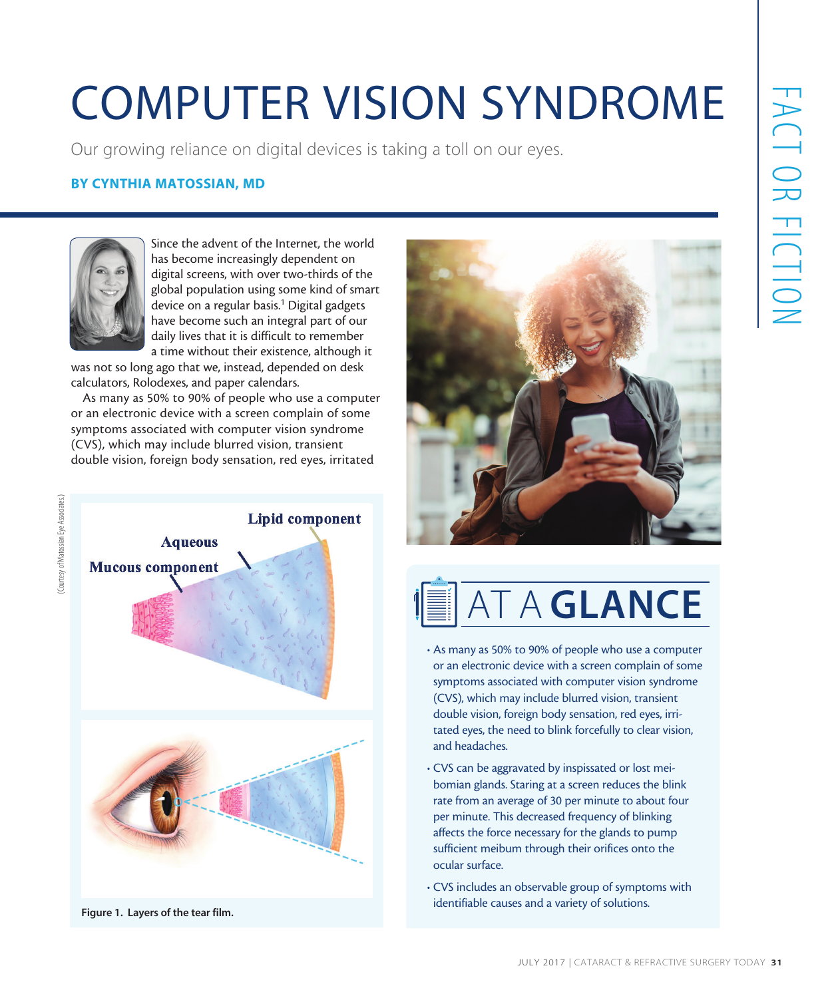# COMPUTER VISION SYNDROME

Our growing reliance on digital devices is taking a toll on our eyes.

### BY CYNTHIA MATOSSIAN, MD



(Courtesy of Matossian Eye Associates.) (Courtesy of Matossian Eye Associates.) Since the advent of the Internet, the world has become increasingly dependent on digital screens, with over two-thirds of the global population using some kind of smart device on a regular basis.<sup>1</sup> Digital gadgets have become such an integral part of our daily lives that it is difficult to remember a time without their existence, although it

was not so long ago that we, instead, depended on desk calculators, Rolodexes, and paper calendars.

As many as 50% to 90% of people who use a computer or an electronic device with a screen complain of some symptoms associated with computer vision syndrome (CVS), which may include blurred vision, transient double vision, foreign body sensation, red eyes, irritated



Figure 1. Layers of the tear film.





- As many as 50% to 90% of people who use a computer or an electronic device with a screen complain of some symptoms associated with computer vision syndrome (CVS), which may include blurred vision, transient double vision, foreign body sensation, red eyes, irritated eyes, the need to blink forcefully to clear vision, and headaches.
- CVS can be aggravated by inspissated or lost meibomian glands. Staring at a screen reduces the blink rate from an average of 30 per minute to about four per minute. This decreased frequency of blinking affects the force necessary for the glands to pump sufficient meibum through their orifices onto the ocular surface.
- CVS includes an observable group of symptoms with identifiable causes and a variety of solutions.